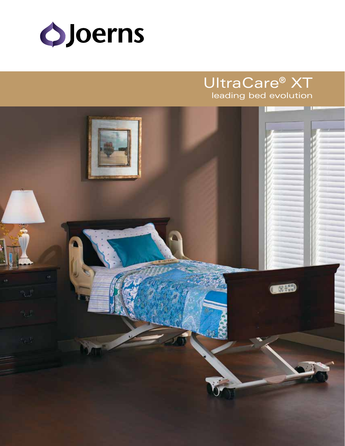

# UltraCare® XT leading bed evolution

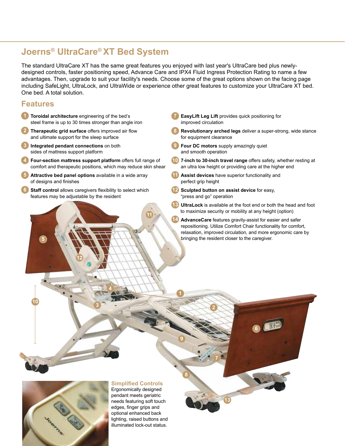# **Joerns® UltraCare® XT Bed System**

The standard UltraCare XT has the same great features you enjoyed with last year's UltraCare bed plus newlydesigned controls, faster positioning speed, Advance Care and IPX4 Fluid Ingress Protection Rating to name a few advantages. Then, upgrade to suit your facility's needs. Choose some of the great options shown on the facing page including SafeLight, UltraLock, and UltraWide or experience other great features to customize your UltraCare XT bed. One bed. A total solution.

**1**

**9**

**8**

**<sup>2</sup> <sup>3</sup>**

**11**

### **Features**

**5**

**10**

- **1** Toroidal architecture engineering of the bed's steel frame is up to 30 times stronger than angle iron
- **2 Therapeutic grid surface** offers improved air flow and ultimate support for the sleep surface
- **3 Integrated pendant connections** on both sides of mattress support platform
- **4 Four-section mattress support platform** offers full range of comfort and therapeutic positions, which may reduce skin shear
- **5 Attractive bed panel options** available in a wide array of designs and finishes
- **6 Staff control** allows caregivers flexibility to select which features may be adjustable by the resident

**12**

**4**

- **7 EasyLift Leg Lift** provides quick positioning for improved circulation
- **8 Revolutionary arched legs** deliver a super-strong, wide stance for equipment clearance
- **9 Four DC motors** supply amazingly quiet and smooth operation
- **10 7-inch to 30-inch travel range** offers safety, whether resting at an ultra low height or providing care at the higher end
- **11** Assist devices have superior functionality and perfect grip height
- **12 Sculpted button on assist device** for easy, "press and go" operation

**7**

**13**

- **13 UltraLock** is available at the foot end or both the head and foot to maximize security or mobility at any height (option)
- **14 AdvanceCare** features gravity-assist for easier and safer repositioning. Utilize Comfort Chair functionality for comfort, relaxation, improved circulation, and more ergonomic care by bringing the resident closer to the caregiver.

**6**



### **Simplified Controls**

Ergonomically designed pendant meets geriatric needs featuring soft touch edges, finger grips and optional enhanced back lighting, raised buttons and illuminated lock-out status.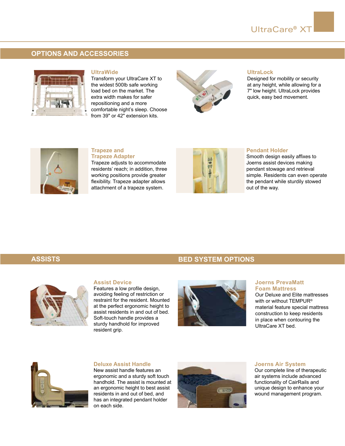## **OPTIONS AND ACCESSORIES**



### **UltraWide**

Transform your UltraCare XT to the widest 500lb safe working load bed on the market. The extra width makes for safer repositioning and a more comfortable night's sleep. Choose from 39" or 42" extension kits.



### **UltraLock**

Designed for mobility or security at any height, while allowing for a 7" low height. UltraLock provides quick, easy bed movement.



### **Trapeze and Trapeze Adapter**

Trapeze adjusts to accommodate residents' reach; in addition, three working positions provide greater flexibility. Trapeze adapter allows attachment of a trapeze system.



### **Pendant Holder**

Smooth design easily affixes to Joerns assist devices making pendant stowage and retrieval simple. Residents can even operate the pendant while sturdily stowed out of the way.

### **ASSISTS BED SYSTEM OPTIONS**

### **Assist Device**

Features a low profile design, avoiding feeling of restriction or restraint for the resident. Mounted at the perfect ergonomic height to assist residents in and out of bed. Soft-touch handle provides a sturdy handhold for improved resident grip.



### **Joerns PrevaMatt Foam Mattress**

Our Deluxe and Elite mattresses with or without TEMPUR® material feature special mattress construction to keep residents in place when contouring the UltraCare XT bed.



### **Deluxe Assist Handle**

New assist handle features an ergonomic and a sturdy soft touch handhold. The assist is mounted at an ergonomic height to best assist residents in and out of bed, and has an integrated pendant holder on each side.



#### **Joerns Air System**

Our complete line of therapeutic air systems include advanced functionality of CairRails and unique design to enhance your wound management program.